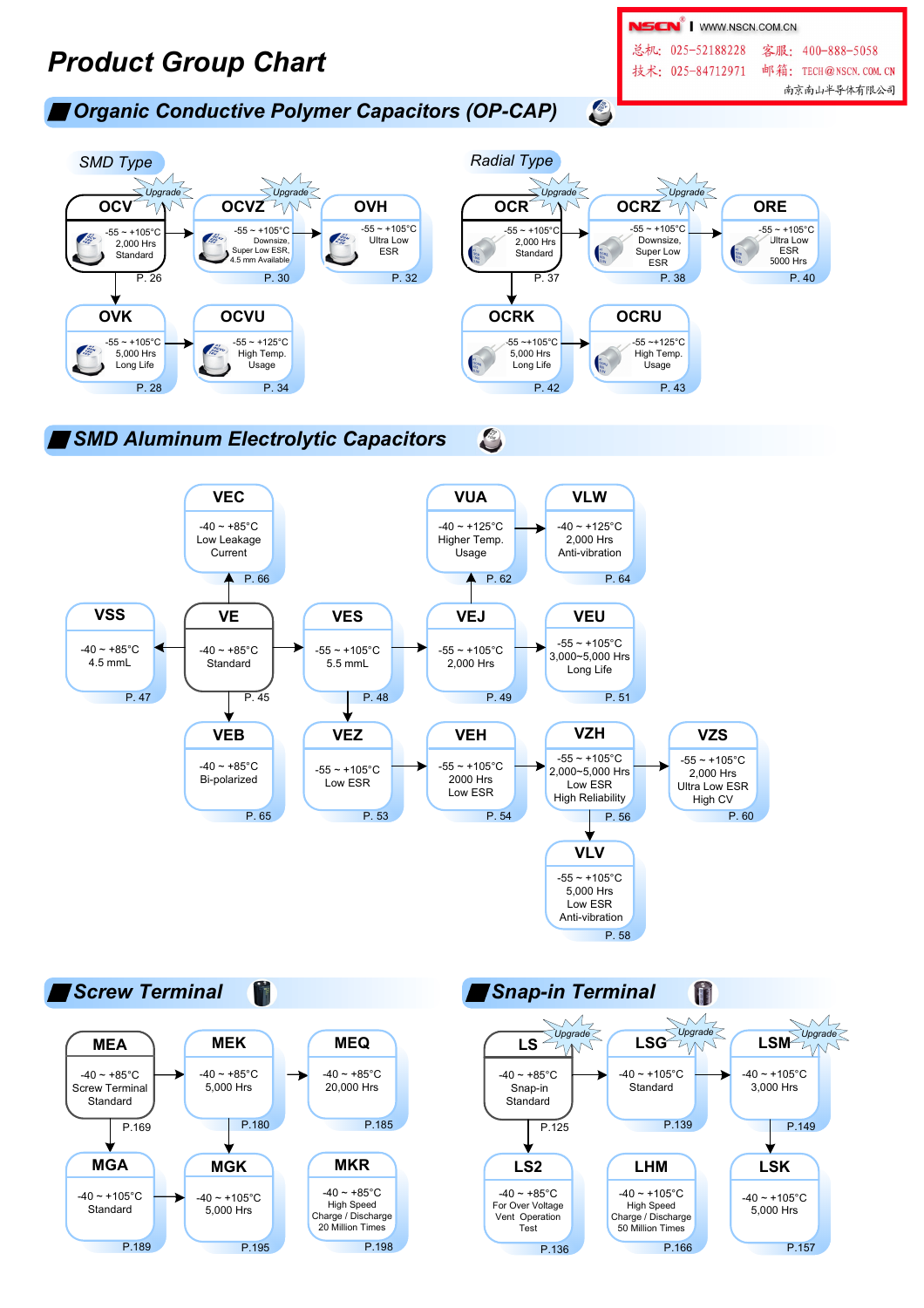